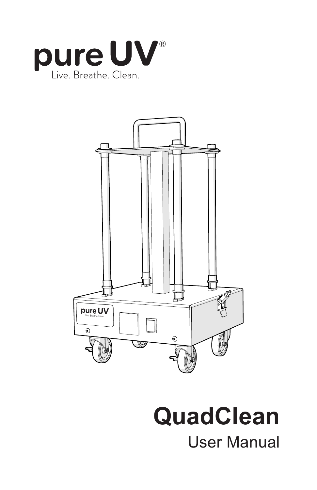



# **QuadClean**

User Manual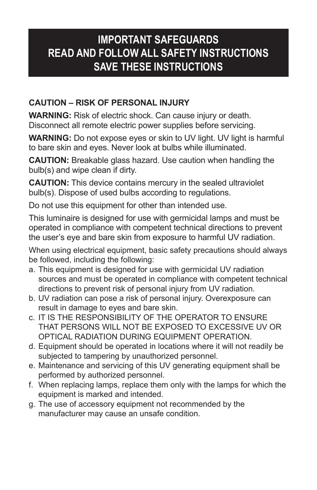#### **IMPORTANT SAFEGUARDS READ AND FOLLOW ALL SAFETY INSTRUCTIONS SAVE THESE INSTRUCTIONS**

#### **CAUTION – RISK OF PERSONAL INJURY**

**WARNING:** Risk of electric shock. Can cause injury or death. Disconnect all remote electric power supplies before servicing.

**WARNING:** Do not expose eyes or skin to UV light. UV light is harmful to bare skin and eyes. Never look at bulbs while illuminated.

**CAUTION:** Breakable glass hazard. Use caution when handling the bulb(s) and wipe clean if dirty.

**CAUTION:** This device contains mercury in the sealed ultraviolet bulb(s). Dispose of used bulbs according to regulations.

Do not use this equipment for other than intended use.

This luminaire is designed for use with germicidal lamps and must be operated in compliance with competent technical directions to prevent the user's eye and bare skin from exposure to harmful UV radiation.

When using electrical equipment, basic safety precautions should always be followed, including the following:

- a. This equipment is designed for use with germicidal UV radiation sources and must be operated in compliance with competent technical directions to prevent risk of personal injury from UV radiation.
- b. UV radiation can pose a risk of personal injury. Overexposure can result in damage to eyes and bare skin.
- c. IT IS THE RESPONSIBILITY OF THE OPERATOR TO ENSURE THAT PERSONS WILL NOT BE EXPOSED TO EXCESSIVE UV OR OPTICAL RADIATION DURING EQUIPMENT OPERATION.
- d. Equipment should be operated in locations where it will not readily be subjected to tampering by unauthorized personnel.
- e. Maintenance and servicing of this UV generating equipment shall be performed by authorized personnel.
- f. When replacing lamps, replace them only with the lamps for which the equipment is marked and intended.
- g. The use of accessory equipment not recommended by the manufacturer may cause an unsafe condition.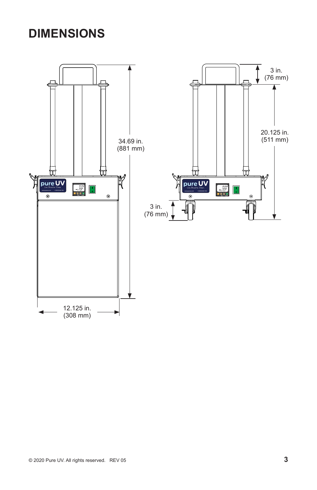## **DIMENSIONS**

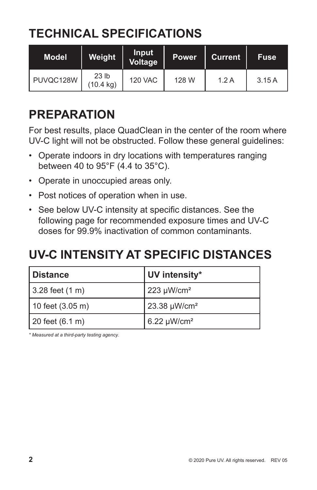## **TECHNICAL SPECIFICATIONS**

| <b>Model</b> | Weight                        | Input<br><b>Voltage</b> | Power. | <b>Current</b> | <b>Fuse</b> |
|--------------|-------------------------------|-------------------------|--------|----------------|-------------|
| PUVQC128W    | 23 <sub>lb</sub><br>(10.4 kg) | <b>120 VAC</b>          | 128 W  | 1.2A           | 3.15A       |

## **PREPARATION**

For best results, place QuadClean in the center of the room where UV-C light will not be obstructed. Follow these general guidelines:

- Operate indoors in dry locations with temperatures ranging between 40 to 95°F (4.4 to 35°C).
- Operate in unoccupied areas only.
- Post notices of operation when in use.
- See below UV-C intensity at specific distances. See the following page for recommended exposure times and UV-C doses for 99.9% inactivation of common contaminants.

### **UV-C INTENSITY AT SPECIFIC DISTANCES**

| Distance                   | UV intensity*            |  |
|----------------------------|--------------------------|--|
| 3.28 feet (1 m)            | $223 \mu W/cm^2$         |  |
| 10 feet $(3.05 \text{ m})$ | 23.38 µW/cm <sup>2</sup> |  |
| 20 feet (6.1 m)            | $6.22 \mu W/cm^2$        |  |

*\* Measured at a third-party testing agency.*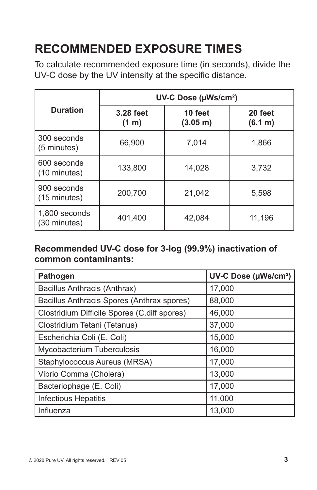# **RECOMMENDED EXPOSURE TIMES**

To calculate recommended exposure time (in seconds), divide the UV-C dose by the UV intensity at the specific distance.

|                                          | UV-C Dose (µWs/cm <sup>2</sup> ) |                     |                    |  |  |
|------------------------------------------|----------------------------------|---------------------|--------------------|--|--|
| <b>Duration</b>                          | 3.28 feet<br>$(1 \text{ m})$     | 10 feet<br>(3.05 m) | 20 feet<br>(6.1 m) |  |  |
| 300 seconds<br>$(5 \text{ minutes})$     | 66,900                           | 7,014               | 1,866              |  |  |
| 600 seconds<br>$(10 \text{ minutes})$    | 133,800                          | 14,028              | 3,732              |  |  |
| 900 seconds<br>$(15 \text{ minutes})$    | 200,700                          | 21,042              | 5,598              |  |  |
| 1,800 seconds<br>401,400<br>(30 minutes) |                                  | 42,084              | 11,196             |  |  |

#### **Recommended UV-C dose for 3-log (99.9%) inactivation of common contaminants:**

| <b>Pathogen</b>                              | UV-C Dose (µWs/cm <sup>2</sup> ) |  |
|----------------------------------------------|----------------------------------|--|
| Bacillus Anthracis (Anthrax)                 | 17,000                           |  |
| Bacillus Anthracis Spores (Anthrax spores)   | 88,000                           |  |
| Clostridium Difficile Spores (C.diff spores) | 46,000                           |  |
| Clostridium Tetani (Tetanus)                 | 37,000                           |  |
| Escherichia Coli (E. Coli)                   | 15,000                           |  |
| Mycobacterium Tuberculosis                   | 16,000                           |  |
| Staphylococcus Aureus (MRSA)                 | 17,000                           |  |
| Vibrio Comma (Cholera)                       | 13,000                           |  |
| Bacteriophage (E. Coli)                      | 17,000                           |  |
| <b>Infectious Hepatitis</b>                  | 11,000                           |  |
| Influenza                                    | 13,000                           |  |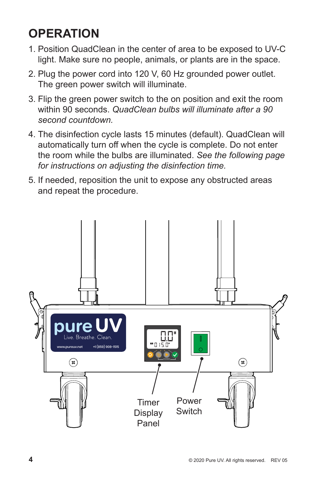## **OPERATION**

- 1. Position QuadClean in the center of area to be exposed to UV-C light. Make sure no people, animals, or plants are in the space.
- 2. Plug the power cord into 120 V, 60 Hz grounded power outlet. The green power switch will illuminate.
- 3. Flip the green power switch to the on position and exit the room within 90 seconds. *QuadClean bulbs will illuminate after a 90 second countdown.*
- 4. The disinfection cycle lasts 15 minutes (default). QuadClean will automatically turn off when the cycle is complete. Do not enter the room while the bulbs are illuminated. *See the following page for instructions on adjusting the disinfection time.*
- 5. If needed, reposition the unit to expose any obstructed areas and repeat the procedure.

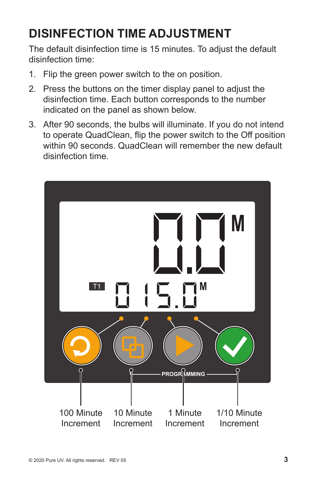## **DISINFECTION TIME ADJUSTMENT**

The default disinfection time is 15 minutes. To adjust the default disinfection time:

- 1. Flip the green power switch to the on position.
- 2. Press the buttons on the timer display panel to adjust the disinfection time. Each button corresponds to the number indicated on the panel as shown below.
- 3. After 90 seconds, the bulbs will illuminate. If you do not intend to operate QuadClean, flip the power switch to the Off position within 90 seconds. QuadClean will remember the new default disinfection time.

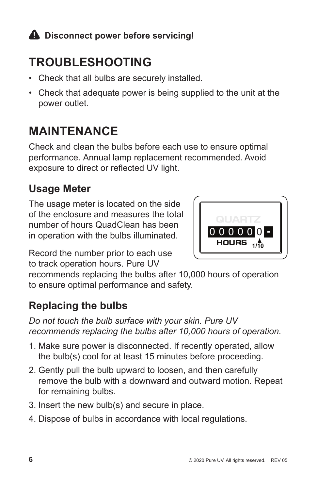#### **A** Disconnect power before servicing!

## **TROUBLESHOOTING**

- Check that all bulbs are securely installed.
- Check that adequate power is being supplied to the unit at the power outlet.

## **MAINTENANCE**

Check and clean the bulbs before each use to ensure optimal performance. Annual lamp replacement recommended. Avoid exposure to direct or reflected UV light.

#### **Usage Meter**

The usage meter is located on the side of the enclosure and measures the total number of hours QuadClean has been in operation with the bulbs illuminated.



Record the number prior to each use to track operation hours. Pure UV

recommends replacing the bulbs after 10,000 hours of operation to ensure optimal performance and safety.

#### **Replacing the bulbs**

*Do not touch the bulb surface with your skin. Pure UV recommends replacing the bulbs after 10,000 hours of operation.*

- 1. Make sure power is disconnected. If recently operated, allow the bulb(s) cool for at least 15 minutes before proceeding.
- 2. Gently pull the bulb upward to loosen, and then carefully remove the bulb with a downward and outward motion. Repeat for remaining bulbs.
- 3. Insert the new bulb(s) and secure in place.
- 4. Dispose of bulbs in accordance with local regulations.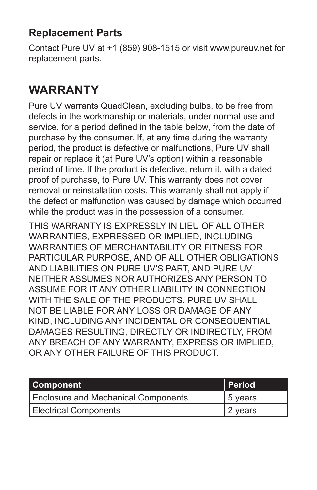#### **Replacement Parts**

Contact Pure UV at +1 (859) 908-1515 or visit www.pureuv.net for replacement parts.

## **WARRANTY**

Pure UV warrants QuadClean, excluding bulbs, to be free from defects in the workmanship or materials, under normal use and service, for a period defined in the table below, from the date of purchase by the consumer. If, at any time during the warranty period, the product is defective or malfunctions, Pure UV shall repair or replace it (at Pure UV's option) within a reasonable period of time. If the product is defective, return it, with a dated proof of purchase, to Pure UV. This warranty does not cover removal or reinstallation costs. This warranty shall not apply if the defect or malfunction was caused by damage which occurred while the product was in the possession of a consumer.

THIS WARRANTY IS EXPRESSLY IN LIEU OF ALL OTHER WARRANTIES, EXPRESSED OR IMPLIED, INCLUDING WARRANTIES OF MERCHANTABILITY OR FITNESS FOR PARTICULAR PURPOSE, AND OF ALL OTHER OBLIGATIONS AND LIABILITIES ON PURE UV'S PART, AND PURE UV NEITHER ASSUMES NOR AUTHORIZES ANY PERSON TO ASSUME FOR IT ANY OTHER LIABILITY IN CONNECTION WITH THE SALE OF THE PRODUCTS. PURE UV SHALL NOT BE LIABLE FOR ANY LOSS OR DAMAGE OF ANY KIND, INCLUDING ANY INCIDENTAL OR CONSEQUENTIAL DAMAGES RESULTING, DIRECTLY OR INDIRECTLY, FROM ANY BREACH OF ANY WARRANTY, EXPRESS OR IMPLIED, OR ANY OTHER FAILURE OF THIS PRODUCT.

| <b>Component</b>                           | <b>Period</b> |
|--------------------------------------------|---------------|
| <b>Enclosure and Mechanical Components</b> | 5 years       |
| <b>Electrical Components</b>               | ' 2 years     |